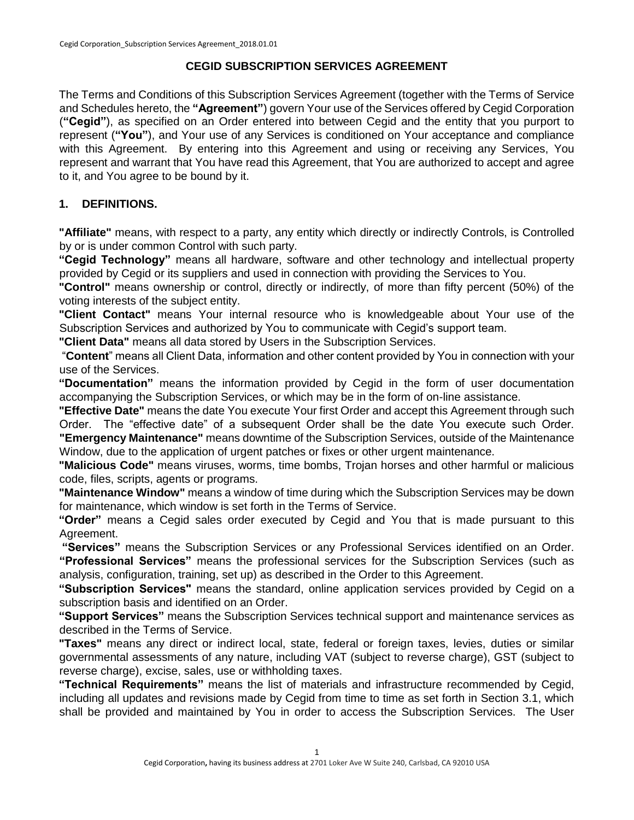### **CEGID SUBSCRIPTION SERVICES AGREEMENT**

The Terms and Conditions of this Subscription Services Agreement (together with the Terms of Service and Schedules hereto, the **"Agreement"**) govern Your use of the Services offered by Cegid Corporation (**"Cegid"**), as specified on an Order entered into between Cegid and the entity that you purport to represent (**"You"**), and Your use of any Services is conditioned on Your acceptance and compliance with this Agreement. By entering into this Agreement and using or receiving any Services, You represent and warrant that You have read this Agreement, that You are authorized to accept and agree to it, and You agree to be bound by it.

## **1. DEFINITIONS.**

**"Affiliate"** means, with respect to a party, any entity which directly or indirectly Controls, is Controlled by or is under common Control with such party.

**"Cegid Technology"** means all hardware, software and other technology and intellectual property provided by Cegid or its suppliers and used in connection with providing the Services to You.

**"Control"** means ownership or control, directly or indirectly, of more than fifty percent (50%) of the voting interests of the subject entity.

**"Client Contact"** means Your internal resource who is knowledgeable about Your use of the Subscription Services and authorized by You to communicate with Cegid's support team.

**"Client Data"** means all data stored by Users in the Subscription Services.

"**Content**" means all Client Data, information and other content provided by You in connection with your use of the Services.

**"Documentation"** means the information provided by Cegid in the form of user documentation accompanying the Subscription Services, or which may be in the form of on-line assistance.

**"Effective Date"** means the date You execute Your first Order and accept this Agreement through such Order. The "effective date" of a subsequent Order shall be the date You execute such Order. **"Emergency Maintenance"** means downtime of the Subscription Services, outside of the Maintenance Window, due to the application of urgent patches or fixes or other urgent maintenance.

**"Malicious Code"** means viruses, worms, time bombs, Trojan horses and other harmful or malicious code, files, scripts, agents or programs.

**"Maintenance Window"** means a window of time during which the Subscription Services may be down for maintenance, which window is set forth in the Terms of Service.

**"Order"** means a Cegid sales order executed by Cegid and You that is made pursuant to this Agreement.

**"Services"** means the Subscription Services or any Professional Services identified on an Order. **"Professional Services"** means the professional services for the Subscription Services (such as analysis, configuration, training, set up) as described in the Order to this Agreement.

**"Subscription Services"** means the standard, online application services provided by Cegid on a subscription basis and identified on an Order.

**"Support Services"** means the Subscription Services technical support and maintenance services as described in the Terms of Service.

**"Taxes"** means any direct or indirect local, state, federal or foreign taxes, levies, duties or similar governmental assessments of any nature, including VAT (subject to reverse charge), GST (subject to reverse charge), excise, sales, use or withholding taxes.

**"Technical Requirements"** means the list of materials and infrastructure recommended by Cegid, including all updates and revisions made by Cegid from time to time as set forth in Section 3.1, which shall be provided and maintained by You in order to access the Subscription Services. The User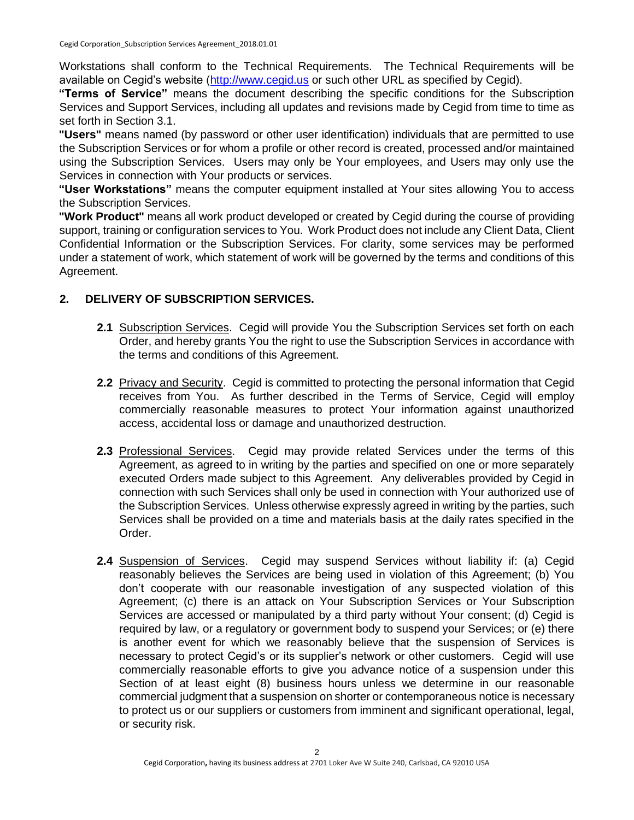Workstations shall conform to the Technical Requirements. The Technical Requirements will be available on Cegid's website [\(http://www.cegid.us](http://www.cegid.us/) [o](http://www.cegid.us/)r such other URL as specified by Cegid).

**"Terms of Service"** means the document describing the specific conditions for the Subscription Services and Support Services, including all updates and revisions made by Cegid from time to time as set forth in Section 3.1.

**"Users"** means named (by password or other user identification) individuals that are permitted to use the Subscription Services or for whom a profile or other record is created, processed and/or maintained using the Subscription Services. Users may only be Your employees, and Users may only use the Services in connection with Your products or services.

**"User Workstations"** means the computer equipment installed at Your sites allowing You to access the Subscription Services.

**"Work Product"** means all work product developed or created by Cegid during the course of providing support, training or configuration services to You. Work Product does not include any Client Data, Client Confidential Information or the Subscription Services. For clarity, some services may be performed under a statement of work, which statement of work will be governed by the terms and conditions of this Agreement.

# **2. DELIVERY OF SUBSCRIPTION SERVICES.**

- **2.1** Subscription Services. Cegid will provide You the Subscription Services set forth on each Order, and hereby grants You the right to use the Subscription Services in accordance with the terms and conditions of this Agreement.
- 2.2 Privacy and Security. Cegid is committed to protecting the personal information that Cegid receives from You. As further described in the Terms of Service, Cegid will employ commercially reasonable measures to protect Your information against unauthorized access, accidental loss or damage and unauthorized destruction.
- **2.3** Professional Services. Cegid may provide related Services under the terms of this Agreement, as agreed to in writing by the parties and specified on one or more separately executed Orders made subject to this Agreement. Any deliverables provided by Cegid in connection with such Services shall only be used in connection with Your authorized use of the Subscription Services. Unless otherwise expressly agreed in writing by the parties, such Services shall be provided on a time and materials basis at the daily rates specified in the Order.
- **2.4** Suspension of Services. Cegid may suspend Services without liability if: (a) Cegid reasonably believes the Services are being used in violation of this Agreement; (b) You don't cooperate with our reasonable investigation of any suspected violation of this Agreement; (c) there is an attack on Your Subscription Services or Your Subscription Services are accessed or manipulated by a third party without Your consent; (d) Cegid is required by law, or a regulatory or government body to suspend your Services; or (e) there is another event for which we reasonably believe that the suspension of Services is necessary to protect Cegid's or its supplier's network or other customers. Cegid will use commercially reasonable efforts to give you advance notice of a suspension under this Section of at least eight (8) business hours unless we determine in our reasonable commercial judgment that a suspension on shorter or contemporaneous notice is necessary to protect us or our suppliers or customers from imminent and significant operational, legal, or security risk.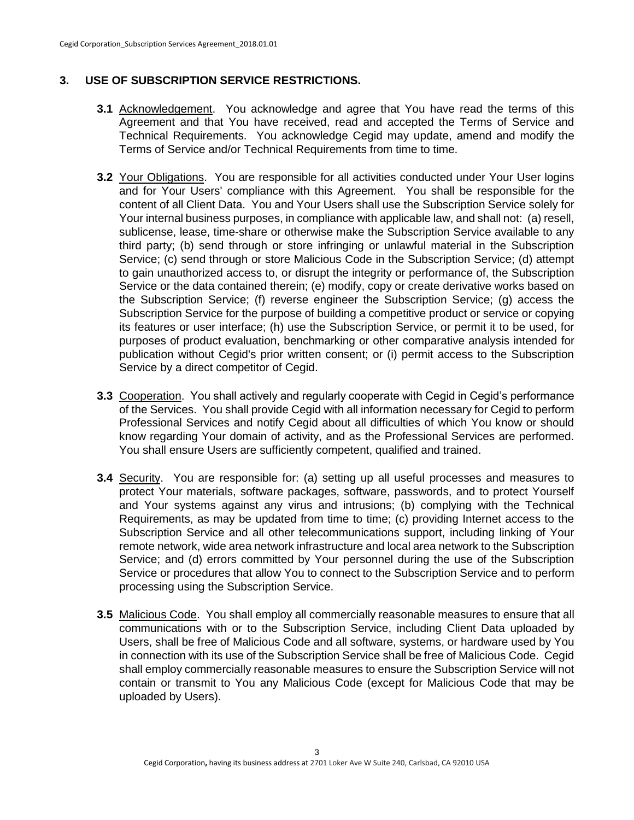## **3. USE OF SUBSCRIPTION SERVICE RESTRICTIONS.**

- **3.1** Acknowledgement. You acknowledge and agree that You have read the terms of this Agreement and that You have received, read and accepted the Terms of Service and Technical Requirements. You acknowledge Cegid may update, amend and modify the Terms of Service and/or Technical Requirements from time to time.
- **3.2** Your Obligations. You are responsible for all activities conducted under Your User logins and for Your Users' compliance with this Agreement. You shall be responsible for the content of all Client Data. You and Your Users shall use the Subscription Service solely for Your internal business purposes, in compliance with applicable law, and shall not: (a) resell, sublicense, lease, time-share or otherwise make the Subscription Service available to any third party; (b) send through or store infringing or unlawful material in the Subscription Service; (c) send through or store Malicious Code in the Subscription Service; (d) attempt to gain unauthorized access to, or disrupt the integrity or performance of, the Subscription Service or the data contained therein; (e) modify, copy or create derivative works based on the Subscription Service; (f) reverse engineer the Subscription Service; (g) access the Subscription Service for the purpose of building a competitive product or service or copying its features or user interface; (h) use the Subscription Service, or permit it to be used, for purposes of product evaluation, benchmarking or other comparative analysis intended for publication without Cegid's prior written consent; or (i) permit access to the Subscription Service by a direct competitor of Cegid.
- **3.3** Cooperation. You shall actively and regularly cooperate with Cegid in Cegid's performance of the Services. You shall provide Cegid with all information necessary for Cegid to perform Professional Services and notify Cegid about all difficulties of which You know or should know regarding Your domain of activity, and as the Professional Services are performed. You shall ensure Users are sufficiently competent, qualified and trained.
- **3.4** Security. You are responsible for: (a) setting up all useful processes and measures to protect Your materials, software packages, software, passwords, and to protect Yourself and Your systems against any virus and intrusions; (b) complying with the Technical Requirements, as may be updated from time to time; (c) providing Internet access to the Subscription Service and all other telecommunications support, including linking of Your remote network, wide area network infrastructure and local area network to the Subscription Service; and (d) errors committed by Your personnel during the use of the Subscription Service or procedures that allow You to connect to the Subscription Service and to perform processing using the Subscription Service.
- **3.5** Malicious Code. You shall employ all commercially reasonable measures to ensure that all communications with or to the Subscription Service, including Client Data uploaded by Users, shall be free of Malicious Code and all software, systems, or hardware used by You in connection with its use of the Subscription Service shall be free of Malicious Code. Cegid shall employ commercially reasonable measures to ensure the Subscription Service will not contain or transmit to You any Malicious Code (except for Malicious Code that may be uploaded by Users).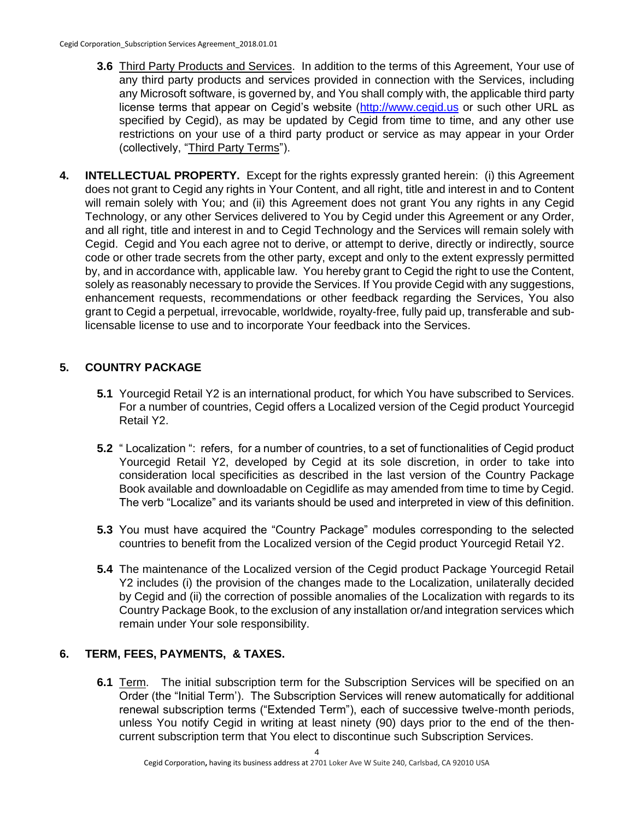- **3.6** Third Party Products and Services. In addition to the terms of this Agreement, Your use of any third party products and services provided in connection with the Services, including any Microsoft software, is governed by, and You shall comply with, the applicable third party license terms that appear on Cegid's website [\(http://www.cegid.us](http://www.cegid.us/) or such other URL as specified by Cegid), as may be updated by Cegid from time to time, and any other use restrictions on your use of a third party product or service as may appear in your Order (collectively, "Third Party Terms").
- **4. INTELLECTUAL PROPERTY.** Except for the rights expressly granted herein: (i) this Agreement does not grant to Cegid any rights in Your Content, and all right, title and interest in and to Content will remain solely with You; and (ii) this Agreement does not grant You any rights in any Cegid Technology, or any other Services delivered to You by Cegid under this Agreement or any Order, and all right, title and interest in and to Cegid Technology and the Services will remain solely with Cegid. Cegid and You each agree not to derive, or attempt to derive, directly or indirectly, source code or other trade secrets from the other party, except and only to the extent expressly permitted by, and in accordance with, applicable law. You hereby grant to Cegid the right to use the Content, solely as reasonably necessary to provide the Services. If You provide Cegid with any suggestions, enhancement requests, recommendations or other feedback regarding the Services, You also grant to Cegid a perpetual, irrevocable, worldwide, royalty-free, fully paid up, transferable and sublicensable license to use and to incorporate Your feedback into the Services.

# **5. COUNTRY PACKAGE**

- **5.1** Yourcegid Retail Y2 is an international product, for which You have subscribed to Services. For a number of countries, Cegid offers a Localized version of the Cegid product Yourcegid Retail Y2.
- **5.2** " Localization ": refers, for a number of countries, to a set of functionalities of Cegid product Yourcegid Retail Y2, developed by Cegid at its sole discretion, in order to take into consideration local specificities as described in the last version of the Country Package Book available and downloadable on Cegidlife as may amended from time to time by Cegid. The verb "Localize" and its variants should be used and interpreted in view of this definition.
- **5.3** You must have acquired the "Country Package" modules corresponding to the selected countries to benefit from the Localized version of the Cegid product Yourcegid Retail Y2.
- **5.4** The maintenance of the Localized version of the Cegid product Package Yourcegid Retail Y2 includes (i) the provision of the changes made to the Localization, unilaterally decided by Cegid and (ii) the correction of possible anomalies of the Localization with regards to its Country Package Book, to the exclusion of any installation or/and integration services which remain under Your sole responsibility.

### **6. TERM, FEES, PAYMENTS, & TAXES.**

**6.1** Term. The initial subscription term for the Subscription Services will be specified on an Order (the "Initial Term'). The Subscription Services will renew automatically for additional renewal subscription terms ("Extended Term"), each of successive twelve-month periods, unless You notify Cegid in writing at least ninety (90) days prior to the end of the thencurrent subscription term that You elect to discontinue such Subscription Services.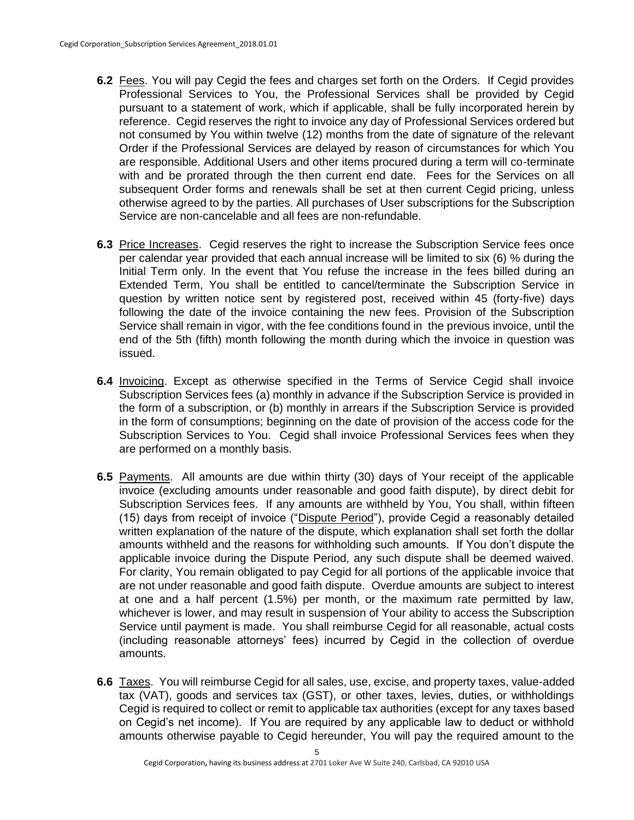- **6.2** Fees. You will pay Cegid the fees and charges set forth on the Orders. If Cegid provides Professional Services to You, the Professional Services shall be provided by Cegid pursuant to a statement of work, which if applicable, shall be fully incorporated herein by reference. Cegid reserves the right to invoice any day of Professional Services ordered but not consumed by You within twelve (12) months from the date of signature of the relevant Order if the Professional Services are delayed by reason of circumstances for which You are responsible. Additional Users and other items procured during a term will co-terminate with and be prorated through the then current end date. Fees for the Services on all subsequent Order forms and renewals shall be set at then current Cegid pricing, unless otherwise agreed to by the parties. All purchases of User subscriptions for the Subscription Service are non-cancelable and all fees are non-refundable.
- **6.3** Price Increases. Cegid reserves the right to increase the Subscription Service fees once per calendar year provided that each annual increase will be limited to six (6) % during the Initial Term only. In the event that You refuse the increase in the fees billed during an Extended Term, You shall be entitled to cancel/terminate the Subscription Service in question by written notice sent by registered post, received within 45 (forty-five) days following the date of the invoice containing the new fees. Provision of the Subscription Service shall remain in vigor, with the fee conditions found in the previous invoice, until the end of the 5th (fifth) month following the month during which the invoice in question was issued.
- **6.4** Invoicing. Except as otherwise specified in the Terms of Service Cegid shall invoice Subscription Services fees (a) monthly in advance if the Subscription Service is provided in the form of a subscription, or (b) monthly in arrears if the Subscription Service is provided in the form of consumptions; beginning on the date of provision of the access code for the Subscription Services to You. Cegid shall invoice Professional Services fees when they are performed on a monthly basis.
- **6.5** Payments. All amounts are due within thirty (30) days of Your receipt of the applicable invoice (excluding amounts under reasonable and good faith dispute), by direct debit for Subscription Services fees. If any amounts are withheld by You, You shall, within fifteen (15) days from receipt of invoice ("Dispute Period"), provide Cegid a reasonably detailed written explanation of the nature of the dispute, which explanation shall set forth the dollar amounts withheld and the reasons for withholding such amounts. If You don't dispute the applicable invoice during the Dispute Period, any such dispute shall be deemed waived. For clarity, You remain obligated to pay Cegid for all portions of the applicable invoice that are not under reasonable and good faith dispute. Overdue amounts are subject to interest at one and a half percent (1.5%) per month, or the maximum rate permitted by law, whichever is lower, and may result in suspension of Your ability to access the Subscription Service until payment is made. You shall reimburse Cegid for all reasonable, actual costs (including reasonable attorneys' fees) incurred by Cegid in the collection of overdue amounts.
- **6.6** Taxes. You will reimburse Cegid for all sales, use, excise, and property taxes, value-added tax (VAT), goods and services tax (GST), or other taxes, levies, duties, or withholdings Cegid is required to collect or remit to applicable tax authorities (except for any taxes based on Cegid's net income). If You are required by any applicable law to deduct or withhold amounts otherwise payable to Cegid hereunder, You will pay the required amount to the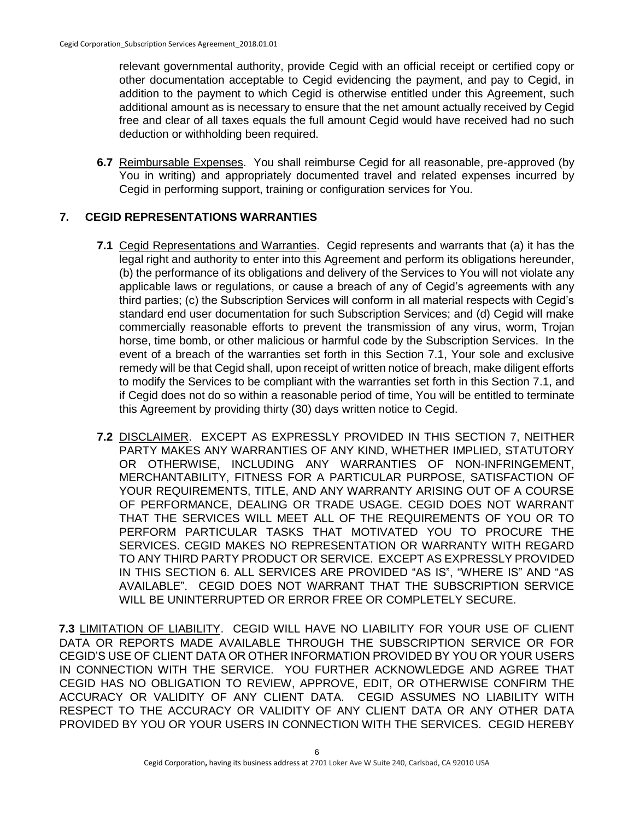relevant governmental authority, provide Cegid with an official receipt or certified copy or other documentation acceptable to Cegid evidencing the payment, and pay to Cegid, in addition to the payment to which Cegid is otherwise entitled under this Agreement, such additional amount as is necessary to ensure that the net amount actually received by Cegid free and clear of all taxes equals the full amount Cegid would have received had no such deduction or withholding been required.

**6.7** Reimbursable Expenses. You shall reimburse Cegid for all reasonable, pre-approved (by You in writing) and appropriately documented travel and related expenses incurred by Cegid in performing support, training or configuration services for You.

## **7. CEGID REPRESENTATIONS WARRANTIES**

- **7.1** Cegid Representations and Warranties. Cegid represents and warrants that (a) it has the legal right and authority to enter into this Agreement and perform its obligations hereunder, (b) the performance of its obligations and delivery of the Services to You will not violate any applicable laws or regulations, or cause a breach of any of Cegid's agreements with any third parties; (c) the Subscription Services will conform in all material respects with Cegid's standard end user documentation for such Subscription Services; and (d) Cegid will make commercially reasonable efforts to prevent the transmission of any virus, worm, Trojan horse, time bomb, or other malicious or harmful code by the Subscription Services. In the event of a breach of the warranties set forth in this Section 7.1, Your sole and exclusive remedy will be that Cegid shall, upon receipt of written notice of breach, make diligent efforts to modify the Services to be compliant with the warranties set forth in this Section 7.1, and if Cegid does not do so within a reasonable period of time, You will be entitled to terminate this Agreement by providing thirty (30) days written notice to Cegid.
- **7.2** DISCLAIMER. EXCEPT AS EXPRESSLY PROVIDED IN THIS SECTION 7, NEITHER PARTY MAKES ANY WARRANTIES OF ANY KIND, WHETHER IMPLIED, STATUTORY OR OTHERWISE, INCLUDING ANY WARRANTIES OF NON-INFRINGEMENT, MERCHANTABILITY, FITNESS FOR A PARTICULAR PURPOSE, SATISFACTION OF YOUR REQUIREMENTS, TITLE, AND ANY WARRANTY ARISING OUT OF A COURSE OF PERFORMANCE, DEALING OR TRADE USAGE. CEGID DOES NOT WARRANT THAT THE SERVICES WILL MEET ALL OF THE REQUIREMENTS OF YOU OR TO PERFORM PARTICULAR TASKS THAT MOTIVATED YOU TO PROCURE THE SERVICES. CEGID MAKES NO REPRESENTATION OR WARRANTY WITH REGARD TO ANY THIRD PARTY PRODUCT OR SERVICE. EXCEPT AS EXPRESSLY PROVIDED IN THIS SECTION 6. ALL SERVICES ARE PROVIDED "AS IS", "WHERE IS" AND "AS AVAILABLE". CEGID DOES NOT WARRANT THAT THE SUBSCRIPTION SERVICE WILL BE UNINTERRUPTED OR ERROR FREE OR COMPLETELY SECURE.

**7.3** LIMITATION OF LIABILITY. CEGID WILL HAVE NO LIABILITY FOR YOUR USE OF CLIENT DATA OR REPORTS MADE AVAILABLE THROUGH THE SUBSCRIPTION SERVICE OR FOR CEGID'S USE OF CLIENT DATA OR OTHER INFORMATION PROVIDED BY YOU OR YOUR USERS IN CONNECTION WITH THE SERVICE. YOU FURTHER ACKNOWLEDGE AND AGREE THAT CEGID HAS NO OBLIGATION TO REVIEW, APPROVE, EDIT, OR OTHERWISE CONFIRM THE ACCURACY OR VALIDITY OF ANY CLIENT DATA. CEGID ASSUMES NO LIABILITY WITH RESPECT TO THE ACCURACY OR VALIDITY OF ANY CLIENT DATA OR ANY OTHER DATA PROVIDED BY YOU OR YOUR USERS IN CONNECTION WITH THE SERVICES. CEGID HEREBY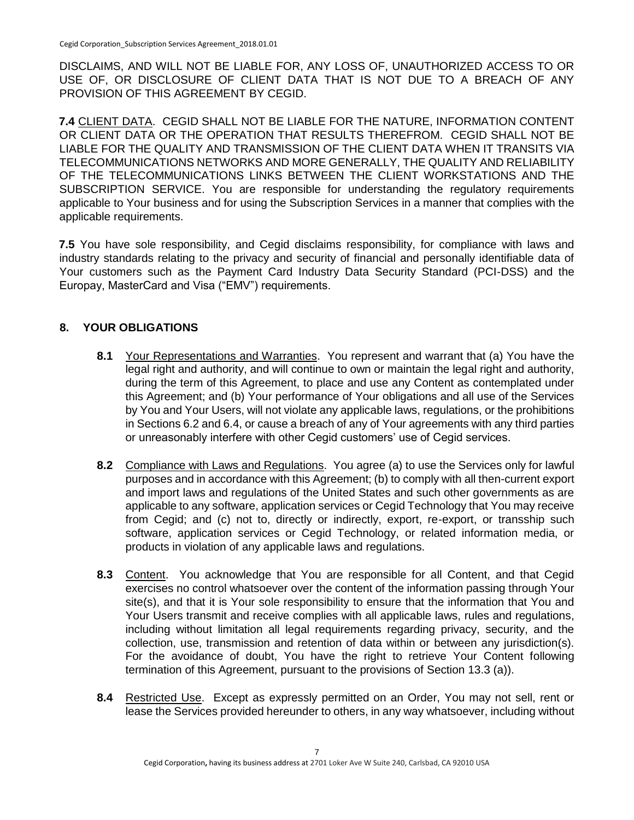DISCLAIMS, AND WILL NOT BE LIABLE FOR, ANY LOSS OF, UNAUTHORIZED ACCESS TO OR USE OF, OR DISCLOSURE OF CLIENT DATA THAT IS NOT DUE TO A BREACH OF ANY PROVISION OF THIS AGREEMENT BY CEGID.

**7.4** CLIENT DATA. CEGID SHALL NOT BE LIABLE FOR THE NATURE, INFORMATION CONTENT OR CLIENT DATA OR THE OPERATION THAT RESULTS THEREFROM. CEGID SHALL NOT BE LIABLE FOR THE QUALITY AND TRANSMISSION OF THE CLIENT DATA WHEN IT TRANSITS VIA TELECOMMUNICATIONS NETWORKS AND MORE GENERALLY, THE QUALITY AND RELIABILITY OF THE TELECOMMUNICATIONS LINKS BETWEEN THE CLIENT WORKSTATIONS AND THE SUBSCRIPTION SERVICE. You are responsible for understanding the regulatory requirements applicable to Your business and for using the Subscription Services in a manner that complies with the applicable requirements.

**7.5** You have sole responsibility, and Cegid disclaims responsibility, for compliance with laws and industry standards relating to the privacy and security of financial and personally identifiable data of Your customers such as the Payment Card Industry Data Security Standard (PCI-DSS) and the Europay, MasterCard and Visa ("EMV") requirements.

## **8. YOUR OBLIGATIONS**

- **8.1** Your Representations and Warranties. You represent and warrant that (a) You have the legal right and authority, and will continue to own or maintain the legal right and authority, during the term of this Agreement, to place and use any Content as contemplated under this Agreement; and (b) Your performance of Your obligations and all use of the Services by You and Your Users, will not violate any applicable laws, regulations, or the prohibitions in Sections 6.2 and 6.4, or cause a breach of any of Your agreements with any third parties or unreasonably interfere with other Cegid customers' use of Cegid services.
- **8.2** Compliance with Laws and Regulations. You agree (a) to use the Services only for lawful purposes and in accordance with this Agreement; (b) to comply with all then-current export and import laws and regulations of the United States and such other governments as are applicable to any software, application services or Cegid Technology that You may receive from Cegid; and (c) not to, directly or indirectly, export, re-export, or transship such software, application services or Cegid Technology, or related information media, or products in violation of any applicable laws and regulations.
- **8.3** Content. You acknowledge that You are responsible for all Content, and that Cegid exercises no control whatsoever over the content of the information passing through Your site(s), and that it is Your sole responsibility to ensure that the information that You and Your Users transmit and receive complies with all applicable laws, rules and regulations, including without limitation all legal requirements regarding privacy, security, and the collection, use, transmission and retention of data within or between any jurisdiction(s). For the avoidance of doubt, You have the right to retrieve Your Content following termination of this Agreement, pursuant to the provisions of Section 13.3 (a)).
- **8.4** Restricted Use. Except as expressly permitted on an Order, You may not sell, rent or lease the Services provided hereunder to others, in any way whatsoever, including without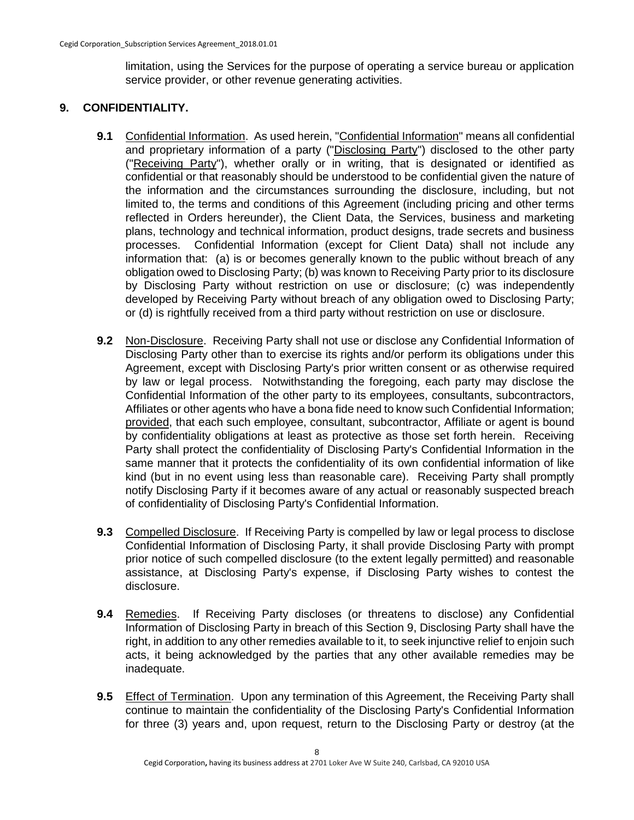limitation, using the Services for the purpose of operating a service bureau or application service provider, or other revenue generating activities.

## **9. CONFIDENTIALITY.**

- 9.1 Confidential Information. As used herein, "Confidential Information" means all confidential and proprietary information of a party ("Disclosing Party") disclosed to the other party ("Receiving Party"), whether orally or in writing, that is designated or identified as confidential or that reasonably should be understood to be confidential given the nature of the information and the circumstances surrounding the disclosure, including, but not limited to, the terms and conditions of this Agreement (including pricing and other terms reflected in Orders hereunder), the Client Data, the Services, business and marketing plans, technology and technical information, product designs, trade secrets and business processes. Confidential Information (except for Client Data) shall not include any information that: (a) is or becomes generally known to the public without breach of any obligation owed to Disclosing Party; (b) was known to Receiving Party prior to its disclosure by Disclosing Party without restriction on use or disclosure; (c) was independently developed by Receiving Party without breach of any obligation owed to Disclosing Party; or (d) is rightfully received from a third party without restriction on use or disclosure.
- **9.2** Non-Disclosure. Receiving Party shall not use or disclose any Confidential Information of Disclosing Party other than to exercise its rights and/or perform its obligations under this Agreement, except with Disclosing Party's prior written consent or as otherwise required by law or legal process. Notwithstanding the foregoing, each party may disclose the Confidential Information of the other party to its employees, consultants, subcontractors, Affiliates or other agents who have a bona fide need to know such Confidential Information; provided, that each such employee, consultant, subcontractor, Affiliate or agent is bound by confidentiality obligations at least as protective as those set forth herein. Receiving Party shall protect the confidentiality of Disclosing Party's Confidential Information in the same manner that it protects the confidentiality of its own confidential information of like kind (but in no event using less than reasonable care). Receiving Party shall promptly notify Disclosing Party if it becomes aware of any actual or reasonably suspected breach of confidentiality of Disclosing Party's Confidential Information.
- **9.3** Compelled Disclosure. If Receiving Party is compelled by law or legal process to disclose Confidential Information of Disclosing Party, it shall provide Disclosing Party with prompt prior notice of such compelled disclosure (to the extent legally permitted) and reasonable assistance, at Disclosing Party's expense, if Disclosing Party wishes to contest the disclosure.
- **9.4** Remedies. If Receiving Party discloses (or threatens to disclose) any Confidential Information of Disclosing Party in breach of this Section 9, Disclosing Party shall have the right, in addition to any other remedies available to it, to seek injunctive relief to enjoin such acts, it being acknowledged by the parties that any other available remedies may be inadequate.
- **9.5** Effect of Termination. Upon any termination of this Agreement, the Receiving Party shall continue to maintain the confidentiality of the Disclosing Party's Confidential Information for three (3) years and, upon request, return to the Disclosing Party or destroy (at the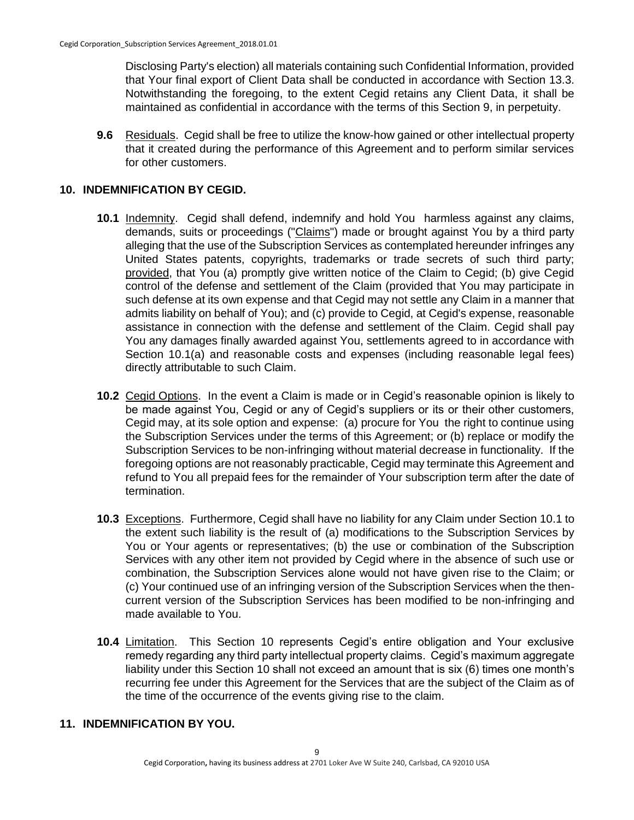Disclosing Party's election) all materials containing such Confidential Information, provided that Your final export of Client Data shall be conducted in accordance with Section 13.3. Notwithstanding the foregoing, to the extent Cegid retains any Client Data, it shall be maintained as confidential in accordance with the terms of this Section 9, in perpetuity.

**9.6** Residuals. Cegid shall be free to utilize the know-how gained or other intellectual property that it created during the performance of this Agreement and to perform similar services for other customers.

#### **10. INDEMNIFICATION BY CEGID.**

- **10.1** Indemnity. Cegid shall defend, indemnify and hold You harmless against any claims, demands, suits or proceedings ("Claims") made or brought against You by a third party alleging that the use of the Subscription Services as contemplated hereunder infringes any United States patents, copyrights, trademarks or trade secrets of such third party; provided, that You (a) promptly give written notice of the Claim to Cegid; (b) give Cegid control of the defense and settlement of the Claim (provided that You may participate in such defense at its own expense and that Cegid may not settle any Claim in a manner that admits liability on behalf of You); and (c) provide to Cegid, at Cegid's expense, reasonable assistance in connection with the defense and settlement of the Claim. Cegid shall pay You any damages finally awarded against You, settlements agreed to in accordance with Section 10.1(a) and reasonable costs and expenses (including reasonable legal fees) directly attributable to such Claim.
- **10.2** Cegid Options. In the event a Claim is made or in Cegid's reasonable opinion is likely to be made against You, Cegid or any of Cegid's suppliers or its or their other customers, Cegid may, at its sole option and expense: (a) procure for You the right to continue using the Subscription Services under the terms of this Agreement; or (b) replace or modify the Subscription Services to be non-infringing without material decrease in functionality. If the foregoing options are not reasonably practicable, Cegid may terminate this Agreement and refund to You all prepaid fees for the remainder of Your subscription term after the date of termination.
- **10.3** Exceptions. Furthermore, Cegid shall have no liability for any Claim under Section 10.1 to the extent such liability is the result of (a) modifications to the Subscription Services by You or Your agents or representatives; (b) the use or combination of the Subscription Services with any other item not provided by Cegid where in the absence of such use or combination, the Subscription Services alone would not have given rise to the Claim; or (c) Your continued use of an infringing version of the Subscription Services when the thencurrent version of the Subscription Services has been modified to be non-infringing and made available to You.
- **10.4** Limitation. This Section 10 represents Cegid's entire obligation and Your exclusive remedy regarding any third party intellectual property claims. Cegid's maximum aggregate liability under this Section 10 shall not exceed an amount that is six (6) times one month's recurring fee under this Agreement for the Services that are the subject of the Claim as of the time of the occurrence of the events giving rise to the claim.

#### **11. INDEMNIFICATION BY YOU.**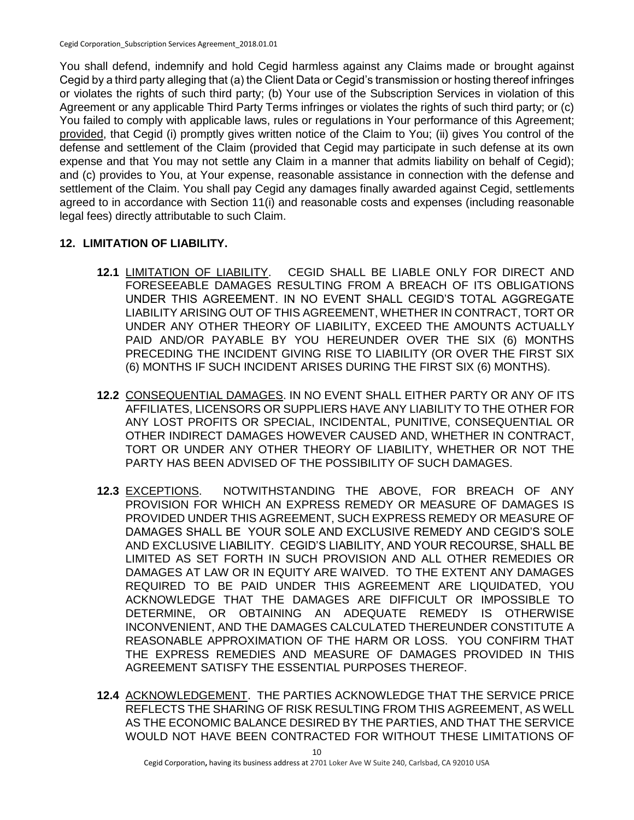You shall defend, indemnify and hold Cegid harmless against any Claims made or brought against Cegid by a third party alleging that (a) the Client Data or Cegid's transmission or hosting thereof infringes or violates the rights of such third party; (b) Your use of the Subscription Services in violation of this Agreement or any applicable Third Party Terms infringes or violates the rights of such third party; or (c) You failed to comply with applicable laws, rules or regulations in Your performance of this Agreement; provided, that Cegid (i) promptly gives written notice of the Claim to You; (ii) gives You control of the defense and settlement of the Claim (provided that Cegid may participate in such defense at its own expense and that You may not settle any Claim in a manner that admits liability on behalf of Cegid); and (c) provides to You, at Your expense, reasonable assistance in connection with the defense and settlement of the Claim. You shall pay Cegid any damages finally awarded against Cegid, settlements agreed to in accordance with Section 11(i) and reasonable costs and expenses (including reasonable legal fees) directly attributable to such Claim.

# **12. LIMITATION OF LIABILITY.**

- **12.1** LIMITATION OF LIABILITY.CEGID SHALL BE LIABLE ONLY FOR DIRECT AND FORESEEABLE DAMAGES RESULTING FROM A BREACH OF ITS OBLIGATIONS UNDER THIS AGREEMENT. IN NO EVENT SHALL CEGID'S TOTAL AGGREGATE LIABILITY ARISING OUT OF THIS AGREEMENT, WHETHER IN CONTRACT, TORT OR UNDER ANY OTHER THEORY OF LIABILITY, EXCEED THE AMOUNTS ACTUALLY PAID AND/OR PAYABLE BY YOU HEREUNDER OVER THE SIX (6) MONTHS PRECEDING THE INCIDENT GIVING RISE TO LIABILITY (OR OVER THE FIRST SIX (6) MONTHS IF SUCH INCIDENT ARISES DURING THE FIRST SIX (6) MONTHS).
- **12.2** CONSEQUENTIAL DAMAGES. IN NO EVENT SHALL EITHER PARTY OR ANY OF ITS AFFILIATES, LICENSORS OR SUPPLIERS HAVE ANY LIABILITY TO THE OTHER FOR ANY LOST PROFITS OR SPECIAL, INCIDENTAL, PUNITIVE, CONSEQUENTIAL OR OTHER INDIRECT DAMAGES HOWEVER CAUSED AND, WHETHER IN CONTRACT, TORT OR UNDER ANY OTHER THEORY OF LIABILITY, WHETHER OR NOT THE PARTY HAS BEEN ADVISED OF THE POSSIBILITY OF SUCH DAMAGES.
- **12.3** EXCEPTIONS. NOTWITHSTANDING THE ABOVE, FOR BREACH OF ANY PROVISION FOR WHICH AN EXPRESS REMEDY OR MEASURE OF DAMAGES IS PROVIDED UNDER THIS AGREEMENT, SUCH EXPRESS REMEDY OR MEASURE OF DAMAGES SHALL BE YOUR SOLE AND EXCLUSIVE REMEDY AND CEGID'S SOLE AND EXCLUSIVE LIABILITY. CEGID'S LIABILITY, AND YOUR RECOURSE, SHALL BE LIMITED AS SET FORTH IN SUCH PROVISION AND ALL OTHER REMEDIES OR DAMAGES AT LAW OR IN EQUITY ARE WAIVED. TO THE EXTENT ANY DAMAGES REQUIRED TO BE PAID UNDER THIS AGREEMENT ARE LIQUIDATED, YOU ACKNOWLEDGE THAT THE DAMAGES ARE DIFFICULT OR IMPOSSIBLE TO DETERMINE, OR OBTAINING AN ADEQUATE REMEDY IS OTHERWISE INCONVENIENT, AND THE DAMAGES CALCULATED THEREUNDER CONSTITUTE A REASONABLE APPROXIMATION OF THE HARM OR LOSS. YOU CONFIRM THAT THE EXPRESS REMEDIES AND MEASURE OF DAMAGES PROVIDED IN THIS AGREEMENT SATISFY THE ESSENTIAL PURPOSES THEREOF.
- **12.4** ACKNOWLEDGEMENT. THE PARTIES ACKNOWLEDGE THAT THE SERVICE PRICE REFLECTS THE SHARING OF RISK RESULTING FROM THIS AGREEMENT, AS WELL AS THE ECONOMIC BALANCE DESIRED BY THE PARTIES, AND THAT THE SERVICE WOULD NOT HAVE BEEN CONTRACTED FOR WITHOUT THESE LIMITATIONS OF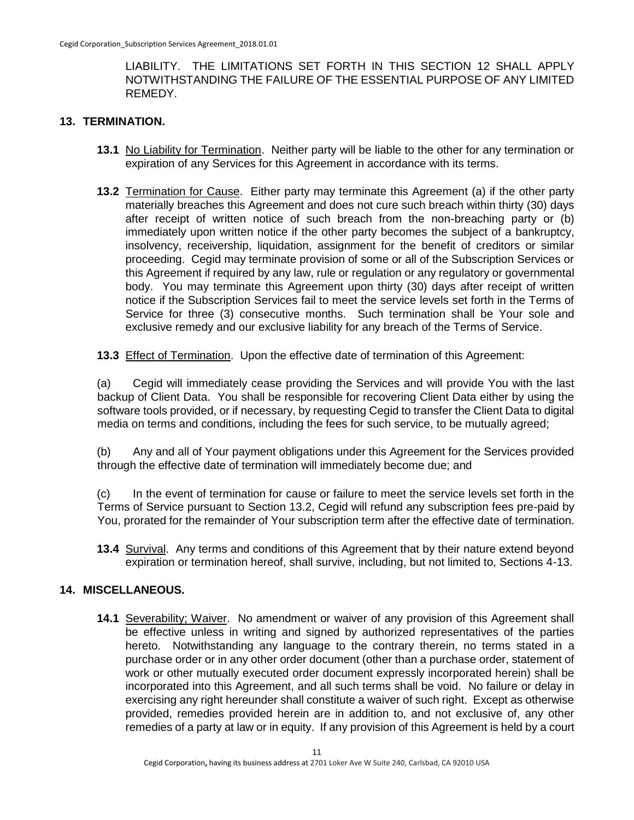LIABILITY. THE LIMITATIONS SET FORTH IN THIS SECTION 12 SHALL APPLY NOTWITHSTANDING THE FAILURE OF THE ESSENTIAL PURPOSE OF ANY LIMITED REMEDY.

#### **13. TERMINATION.**

- **13.1** No Liability for Termination. Neither party will be liable to the other for any termination or expiration of any Services for this Agreement in accordance with its terms.
- **13.2** Termination for Cause. Either party may terminate this Agreement (a) if the other party materially breaches this Agreement and does not cure such breach within thirty (30) days after receipt of written notice of such breach from the non-breaching party or (b) immediately upon written notice if the other party becomes the subject of a bankruptcy, insolvency, receivership, liquidation, assignment for the benefit of creditors or similar proceeding. Cegid may terminate provision of some or all of the Subscription Services or this Agreement if required by any law, rule or regulation or any regulatory or governmental body. You may terminate this Agreement upon thirty (30) days after receipt of written notice if the Subscription Services fail to meet the service levels set forth in the Terms of Service for three (3) consecutive months. Such termination shall be Your sole and exclusive remedy and our exclusive liability for any breach of the Terms of Service.
- **13.3** Effect of Termination. Upon the effective date of termination of this Agreement:

(a) Cegid will immediately cease providing the Services and will provide You with the last backup of Client Data. You shall be responsible for recovering Client Data either by using the software tools provided, or if necessary, by requesting Cegid to transfer the Client Data to digital media on terms and conditions, including the fees for such service, to be mutually agreed;

(b) Any and all of Your payment obligations under this Agreement for the Services provided through the effective date of termination will immediately become due; and

(c) In the event of termination for cause or failure to meet the service levels set forth in the Terms of Service pursuant to Section 13.2, Cegid will refund any subscription fees pre-paid by You, prorated for the remainder of Your subscription term after the effective date of termination.

**13.4** Survival. Any terms and conditions of this Agreement that by their nature extend beyond expiration or termination hereof, shall survive, including, but not limited to, Sections 4-13.

#### **14. MISCELLANEOUS.**

**14.1** Severability; Waiver. No amendment or waiver of any provision of this Agreement shall be effective unless in writing and signed by authorized representatives of the parties hereto. Notwithstanding any language to the contrary therein, no terms stated in a purchase order or in any other order document (other than a purchase order, statement of work or other mutually executed order document expressly incorporated herein) shall be incorporated into this Agreement, and all such terms shall be void. No failure or delay in exercising any right hereunder shall constitute a waiver of such right. Except as otherwise provided, remedies provided herein are in addition to, and not exclusive of, any other remedies of a party at law or in equity. If any provision of this Agreement is held by a court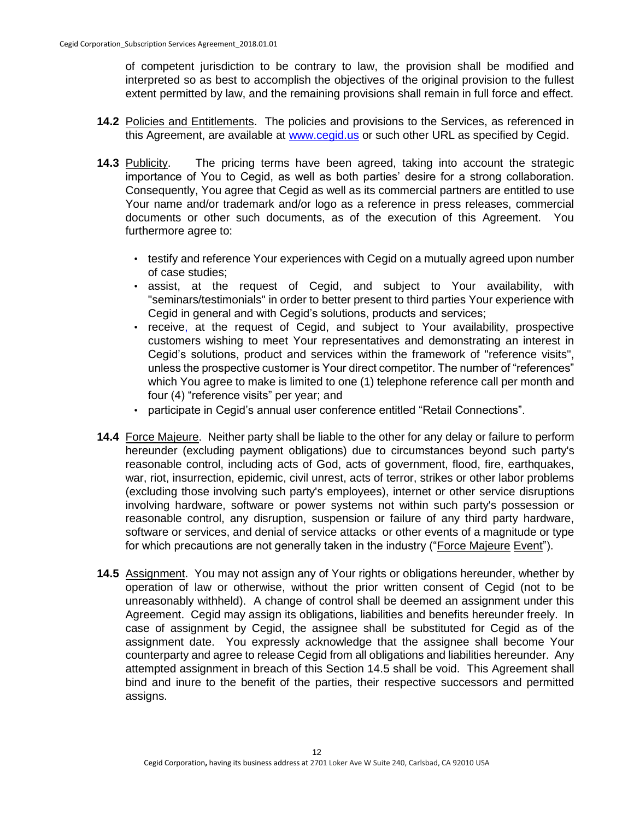of competent jurisdiction to be contrary to law, the provision shall be modified and interpreted so as best to accomplish the objectives of the original provision to the fullest extent permitted by law, and the remaining provisions shall remain in full force and effect.

- **14.2** Policies and Entitlements. The policies and provisions to the Services, as referenced in this Agreement, are available at [www.cegid.us](http://www.cegid.us/) or such other URL as specified by Cegid.
- **14.3** Publicity. The pricing terms have been agreed, taking into account the strategic importance of You to Cegid, as well as both parties' desire for a strong collaboration. Consequently, You agree that Cegid as well as its commercial partners are entitled to use Your name and/or trademark and/or logo as a reference in press releases, commercial documents or other such documents, as of the execution of this Agreement. You furthermore agree to:
	- testify and reference Your experiences with Cegid on a mutually agreed upon number of case studies;
	- assist, at the request of Cegid, and subject to Your availability, with "seminars/testimonials" in order to better present to third parties Your experience with Cegid in general and with Cegid's solutions, products and services;
	- receive, at the request of Cegid, and subject to Your availability, prospective customers wishing to meet Your representatives and demonstrating an interest in Cegid's solutions, product and services within the framework of "reference visits", unless the prospective customer is Your direct competitor. The number of "references" which You agree to make is limited to one (1) telephone reference call per month and four (4) "reference visits" per year; and
	- participate in Cegid's annual user conference entitled "Retail Connections".
- **14.4** Force Majeure. Neither party shall be liable to the other for any delay or failure to perform hereunder (excluding payment obligations) due to circumstances beyond such party's reasonable control, including acts of God, acts of government, flood, fire, earthquakes, war, riot, insurrection, epidemic, civil unrest, acts of terror, strikes or other labor problems (excluding those involving such party's employees), internet or other service disruptions involving hardware, software or power systems not within such party's possession or reasonable control, any disruption, suspension or failure of any third party hardware, software or services, and denial of service attacks or other events of a magnitude or type for which precautions are not generally taken in the industry ("Force Majeure Event").
- **14.5** Assignment. You may not assign any of Your rights or obligations hereunder, whether by operation of law or otherwise, without the prior written consent of Cegid (not to be unreasonably withheld). A change of control shall be deemed an assignment under this Agreement. Cegid may assign its obligations, liabilities and benefits hereunder freely. In case of assignment by Cegid, the assignee shall be substituted for Cegid as of the assignment date. You expressly acknowledge that the assignee shall become Your counterparty and agree to release Cegid from all obligations and liabilities hereunder. Any attempted assignment in breach of this Section 14.5 shall be void. This Agreement shall bind and inure to the benefit of the parties, their respective successors and permitted assigns.